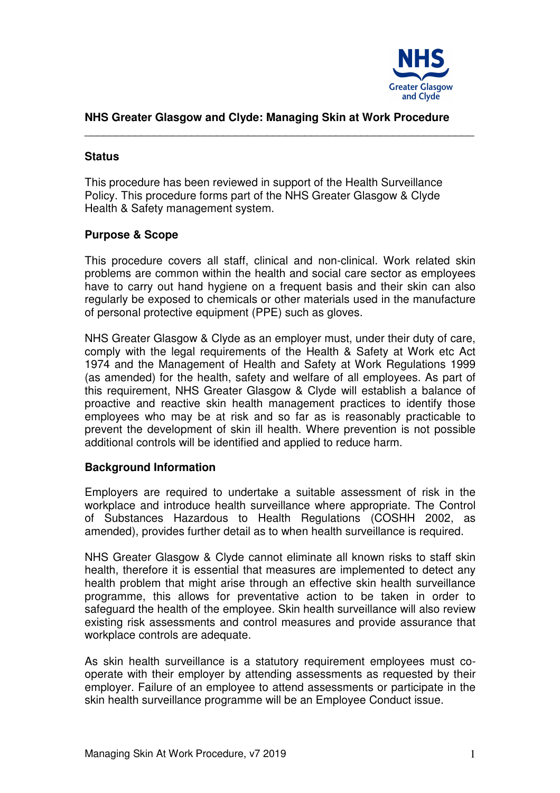

## **NHS Greater Glasgow and Clyde: Managing Skin at Work Procedure**

\_\_\_\_\_\_\_\_\_\_\_\_\_\_\_\_\_\_\_\_\_\_\_\_\_\_\_\_\_\_\_\_\_\_\_\_\_\_\_\_\_\_\_\_\_\_\_\_\_\_\_\_\_\_\_\_\_\_\_\_\_\_

#### **Status**

This procedure has been reviewed in support of the Health Surveillance Policy. This procedure forms part of the NHS Greater Glasgow & Clyde Health & Safety management system.

## **Purpose & Scope**

This procedure covers all staff, clinical and non-clinical. Work related skin problems are common within the health and social care sector as employees have to carry out hand hygiene on a frequent basis and their skin can also regularly be exposed to chemicals or other materials used in the manufacture of personal protective equipment (PPE) such as gloves.

NHS Greater Glasgow & Clyde as an employer must, under their duty of care, comply with the legal requirements of the Health & Safety at Work etc Act 1974 and the Management of Health and Safety at Work Regulations 1999 (as amended) for the health, safety and welfare of all employees. As part of this requirement, NHS Greater Glasgow & Clyde will establish a balance of proactive and reactive skin health management practices to identify those employees who may be at risk and so far as is reasonably practicable to prevent the development of skin ill health. Where prevention is not possible additional controls will be identified and applied to reduce harm.

## **Background Information**

Employers are required to undertake a suitable assessment of risk in the workplace and introduce health surveillance where appropriate. The Control of Substances Hazardous to Health Regulations (COSHH 2002, as amended), provides further detail as to when health surveillance is required.

NHS Greater Glasgow & Clyde cannot eliminate all known risks to staff skin health, therefore it is essential that measures are implemented to detect any health problem that might arise through an effective skin health surveillance programme, this allows for preventative action to be taken in order to safeguard the health of the employee. Skin health surveillance will also review existing risk assessments and control measures and provide assurance that workplace controls are adequate.

As skin health surveillance is a statutory requirement employees must cooperate with their employer by attending assessments as requested by their employer. Failure of an employee to attend assessments or participate in the skin health surveillance programme will be an Employee Conduct issue.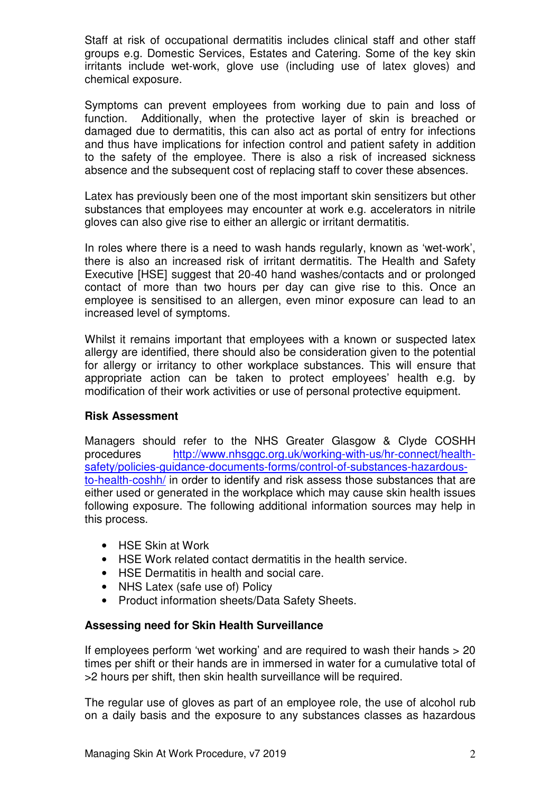Staff at risk of occupational dermatitis includes clinical staff and other staff groups e.g. Domestic Services, Estates and Catering. Some of the key skin irritants include wet-work, glove use (including use of latex gloves) and chemical exposure.

Symptoms can prevent employees from working due to pain and loss of function. Additionally, when the protective layer of skin is breached or damaged due to dermatitis, this can also act as portal of entry for infections and thus have implications for infection control and patient safety in addition to the safety of the employee. There is also a risk of increased sickness absence and the subsequent cost of replacing staff to cover these absences.

Latex has previously been one of the most important skin sensitizers but other substances that employees may encounter at work e.g. accelerators in nitrile gloves can also give rise to either an allergic or irritant dermatitis.

In roles where there is a need to wash hands regularly, known as 'wet-work', there is also an increased risk of irritant dermatitis. The Health and Safety Executive [HSE] suggest that 20-40 hand washes/contacts and or prolonged contact of more than two hours per day can give rise to this. Once an employee is sensitised to an allergen, even minor exposure can lead to an increased level of symptoms.

Whilst it remains important that employees with a known or suspected latex allergy are identified, there should also be consideration given to the potential for allergy or irritancy to other workplace substances. This will ensure that appropriate action can be taken to protect employees' health e.g. by modification of their work activities or use of personal protective equipment.

# **Risk Assessment**

Managers should refer to the NHS Greater Glasgow & Clyde COSHH procedures http://www.nhsggc.org.uk/working-with-us/hr-connect/healthsafety/policies-guidance-documents-forms/control-of-substances-hazardousto-health-coshh/ in order to identify and risk assess those substances that are either used or generated in the workplace which may cause skin health issues following exposure. The following additional information sources may help in this process.

- HSE Skin at Work
- HSE Work related contact dermatitis in the health service.
- HSE Dermatitis in health and social care.
- NHS Latex (safe use of) Policy
- Product information sheets/Data Safety Sheets.

## **Assessing need for Skin Health Surveillance**

If employees perform 'wet working' and are required to wash their hands > 20 times per shift or their hands are in immersed in water for a cumulative total of >2 hours per shift, then skin health surveillance will be required.

The regular use of gloves as part of an employee role, the use of alcohol rub on a daily basis and the exposure to any substances classes as hazardous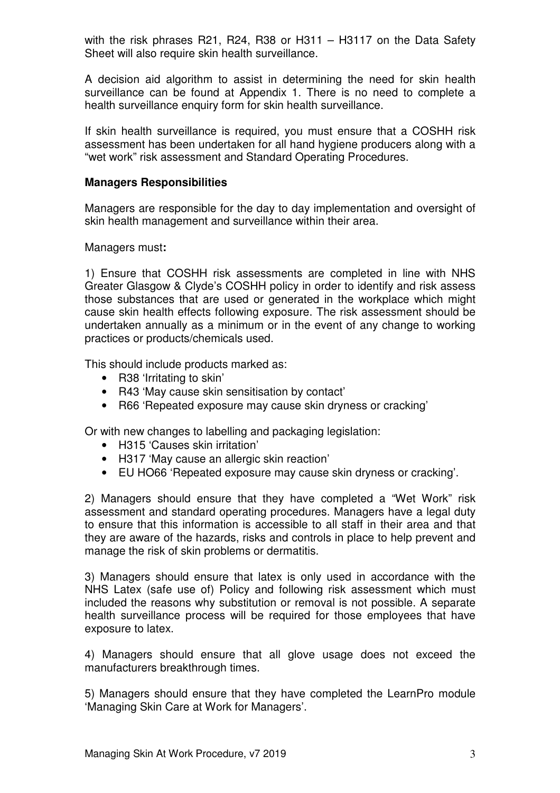with the risk phrases R21, R24, R38 or H311 – H3117 on the Data Safety Sheet will also require skin health surveillance.

A decision aid algorithm to assist in determining the need for skin health surveillance can be found at Appendix 1. There is no need to complete a health surveillance enquiry form for skin health surveillance.

If skin health surveillance is required, you must ensure that a COSHH risk assessment has been undertaken for all hand hygiene producers along with a "wet work" risk assessment and Standard Operating Procedures.

### **Managers Responsibilities**

Managers are responsible for the day to day implementation and oversight of skin health management and surveillance within their area.

Managers must**:** 

1) Ensure that COSHH risk assessments are completed in line with NHS Greater Glasgow & Clyde's COSHH policy in order to identify and risk assess those substances that are used or generated in the workplace which might cause skin health effects following exposure. The risk assessment should be undertaken annually as a minimum or in the event of any change to working practices or products/chemicals used.

This should include products marked as:

- R38 'Irritating to skin'
- R43 'May cause skin sensitisation by contact'
- R66 'Repeated exposure may cause skin dryness or cracking'

Or with new changes to labelling and packaging legislation:

- H315 'Causes skin irritation'
- H317 'May cause an allergic skin reaction'
- EU HO66 'Repeated exposure may cause skin dryness or cracking'.

2) Managers should ensure that they have completed a "Wet Work" risk assessment and standard operating procedures. Managers have a legal duty to ensure that this information is accessible to all staff in their area and that they are aware of the hazards, risks and controls in place to help prevent and manage the risk of skin problems or dermatitis.

3) Managers should ensure that latex is only used in accordance with the NHS Latex (safe use of) Policy and following risk assessment which must included the reasons why substitution or removal is not possible. A separate health surveillance process will be required for those employees that have exposure to latex.

4) Managers should ensure that all glove usage does not exceed the manufacturers breakthrough times.

5) Managers should ensure that they have completed the LearnPro module 'Managing Skin Care at Work for Managers'.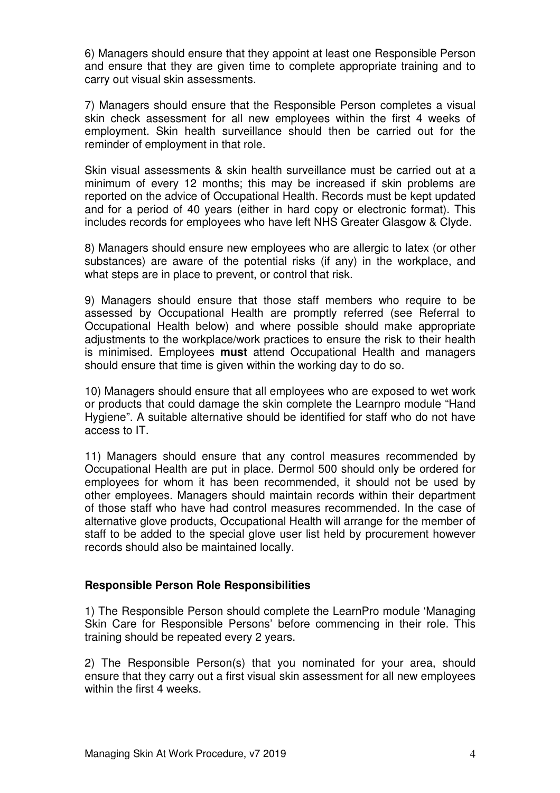6) Managers should ensure that they appoint at least one Responsible Person and ensure that they are given time to complete appropriate training and to carry out visual skin assessments.

7) Managers should ensure that the Responsible Person completes a visual skin check assessment for all new employees within the first 4 weeks of employment. Skin health surveillance should then be carried out for the reminder of employment in that role.

Skin visual assessments & skin health surveillance must be carried out at a minimum of every 12 months; this may be increased if skin problems are reported on the advice of Occupational Health. Records must be kept updated and for a period of 40 years (either in hard copy or electronic format). This includes records for employees who have left NHS Greater Glasgow & Clyde.

8) Managers should ensure new employees who are allergic to latex (or other substances) are aware of the potential risks (if any) in the workplace, and what steps are in place to prevent, or control that risk.

9) Managers should ensure that those staff members who require to be assessed by Occupational Health are promptly referred (see Referral to Occupational Health below) and where possible should make appropriate adjustments to the workplace/work practices to ensure the risk to their health is minimised. Employees **must** attend Occupational Health and managers should ensure that time is given within the working day to do so.

10) Managers should ensure that all employees who are exposed to wet work or products that could damage the skin complete the Learnpro module "Hand Hygiene". A suitable alternative should be identified for staff who do not have access to IT.

11) Managers should ensure that any control measures recommended by Occupational Health are put in place. Dermol 500 should only be ordered for employees for whom it has been recommended, it should not be used by other employees. Managers should maintain records within their department of those staff who have had control measures recommended. In the case of alternative glove products, Occupational Health will arrange for the member of staff to be added to the special glove user list held by procurement however records should also be maintained locally.

## **Responsible Person Role Responsibilities**

1) The Responsible Person should complete the LearnPro module 'Managing Skin Care for Responsible Persons' before commencing in their role. This training should be repeated every 2 years.

2) The Responsible Person(s) that you nominated for your area, should ensure that they carry out a first visual skin assessment for all new employees within the first 4 weeks.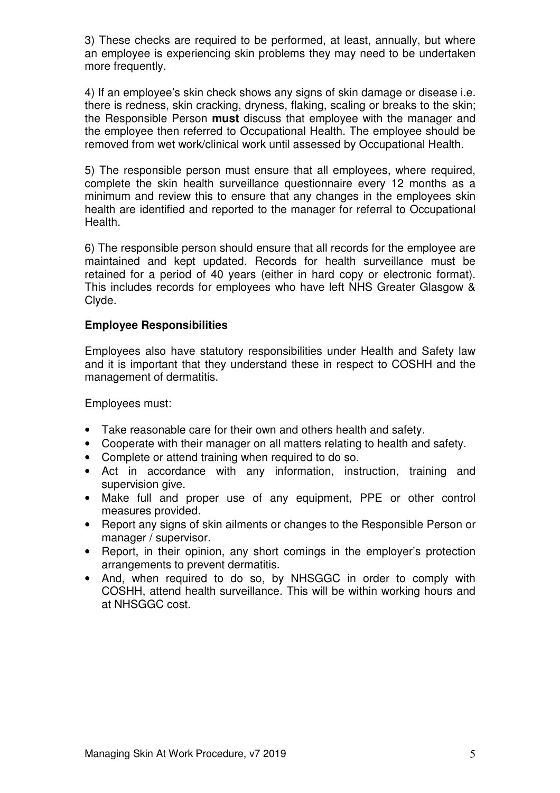3) These checks are required to be performed, at least, annually, but where an employee is experiencing skin problems they may need to be undertaken more frequently.

4) If an employee's skin check shows any signs of skin damage or disease i.e. there is redness, skin cracking, dryness, flaking, scaling or breaks to the skin; the Responsible Person **must** discuss that employee with the manager and the employee then referred to Occupational Health. The employee should be removed from wet work/clinical work until assessed by Occupational Health.

5) The responsible person must ensure that all employees, where required, complete the skin health surveillance questionnaire every 12 months as a minimum and review this to ensure that any changes in the employees skin health are identified and reported to the manager for referral to Occupational Health.

6) The responsible person should ensure that all records for the employee are maintained and kept updated. Records for health surveillance must be retained for a period of 40 years (either in hard copy or electronic format). This includes records for employees who have left NHS Greater Glasgow & Clyde.

## **Employee Responsibilities**

Employees also have statutory responsibilities under Health and Safety law and it is important that they understand these in respect to COSHH and the management of dermatitis.

Employees must:

- Take reasonable care for their own and others health and safety.
- Cooperate with their manager on all matters relating to health and safety.
- Complete or attend training when required to do so.
- Act in accordance with any information, instruction, training and supervision give.
- Make full and proper use of any equipment, PPE or other control measures provided.
- Report any signs of skin ailments or changes to the Responsible Person or manager / supervisor.
- Report, in their opinion, any short comings in the employer's protection arrangements to prevent dermatitis.
- And, when required to do so, by NHSGGC in order to comply with COSHH, attend health surveillance. This will be within working hours and at NHSGGC cost.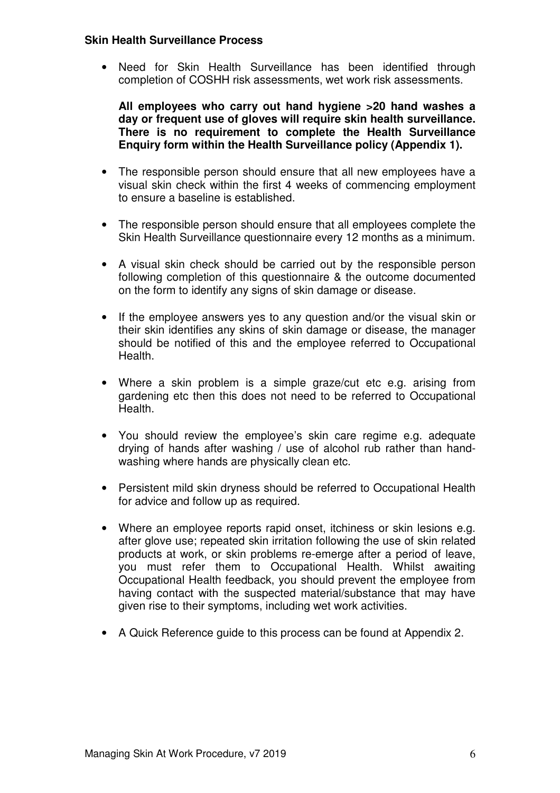#### **Skin Health Surveillance Process**

• Need for Skin Health Surveillance has been identified through completion of COSHH risk assessments, wet work risk assessments.

**All employees who carry out hand hygiene >20 hand washes a day or frequent use of gloves will require skin health surveillance. There is no requirement to complete the Health Surveillance Enquiry form within the Health Surveillance policy (Appendix 1).** 

- The responsible person should ensure that all new employees have a visual skin check within the first 4 weeks of commencing employment to ensure a baseline is established.
- The responsible person should ensure that all employees complete the Skin Health Surveillance questionnaire every 12 months as a minimum.
- A visual skin check should be carried out by the responsible person following completion of this questionnaire & the outcome documented on the form to identify any signs of skin damage or disease.
- If the employee answers yes to any question and/or the visual skin or their skin identifies any skins of skin damage or disease, the manager should be notified of this and the employee referred to Occupational Health.
- Where a skin problem is a simple graze/cut etc e.g. arising from gardening etc then this does not need to be referred to Occupational Health.
- You should review the employee's skin care regime e.g. adequate drying of hands after washing / use of alcohol rub rather than handwashing where hands are physically clean etc.
- Persistent mild skin dryness should be referred to Occupational Health for advice and follow up as required.
- Where an employee reports rapid onset, itchiness or skin lesions e.g. after glove use; repeated skin irritation following the use of skin related products at work, or skin problems re-emerge after a period of leave, you must refer them to Occupational Health. Whilst awaiting Occupational Health feedback, you should prevent the employee from having contact with the suspected material/substance that may have given rise to their symptoms, including wet work activities.
- A Quick Reference guide to this process can be found at Appendix 2.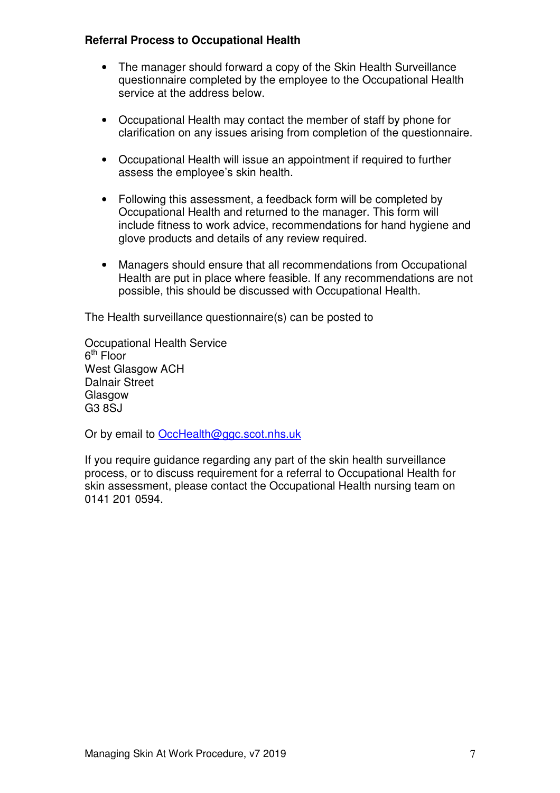## **Referral Process to Occupational Health**

- The manager should forward a copy of the Skin Health Surveillance questionnaire completed by the employee to the Occupational Health service at the address below.
- Occupational Health may contact the member of staff by phone for clarification on any issues arising from completion of the questionnaire.
- Occupational Health will issue an appointment if required to further assess the employee's skin health.
- Following this assessment, a feedback form will be completed by Occupational Health and returned to the manager. This form will include fitness to work advice, recommendations for hand hygiene and glove products and details of any review required.
- Managers should ensure that all recommendations from Occupational Health are put in place where feasible. If any recommendations are not possible, this should be discussed with Occupational Health.

The Health surveillance questionnaire(s) can be posted to

Occupational Health Service 6<sup>th</sup> Floor West Glasgow ACH Dalnair Street **Glasgow** G3 8SJ

Or by email to OccHealth@ggc.scot.nhs.uk

If you require guidance regarding any part of the skin health surveillance process, or to discuss requirement for a referral to Occupational Health for skin assessment, please contact the Occupational Health nursing team on 0141 201 0594.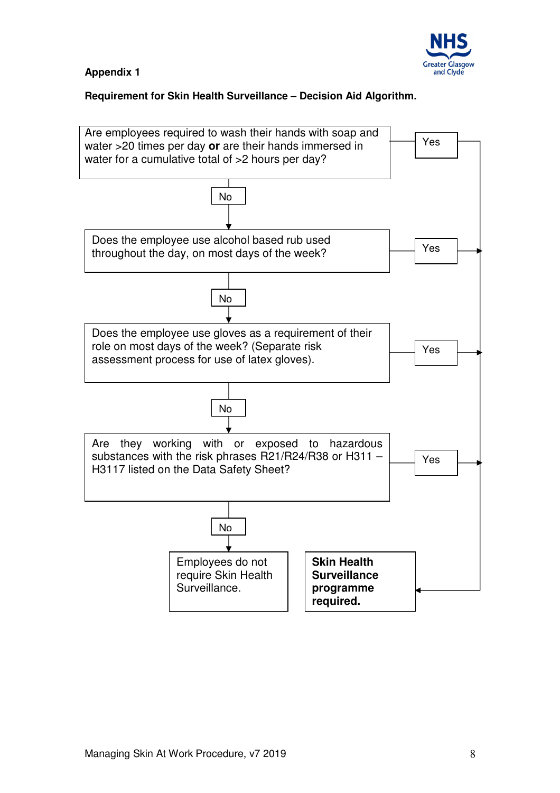

## **Appendix 1**

## **Requirement for Skin Health Surveillance – Decision Aid Algorithm.**

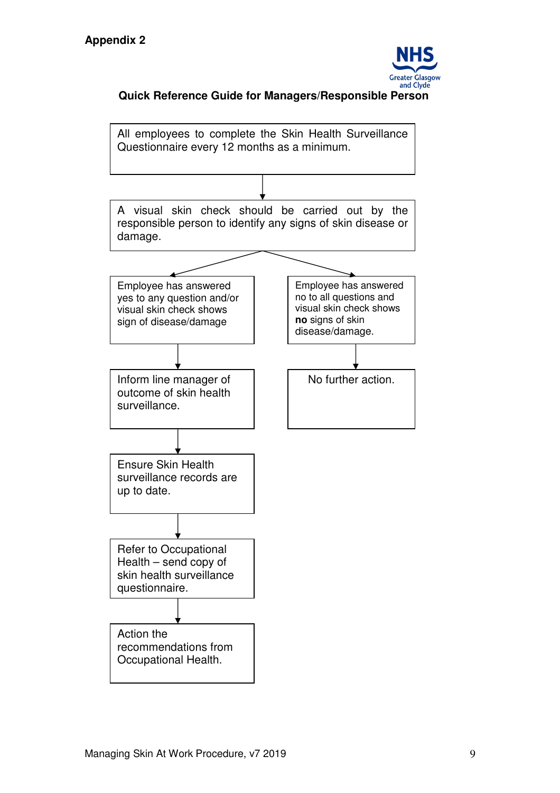

## **Quick Reference Guide for Managers/Responsible Person**